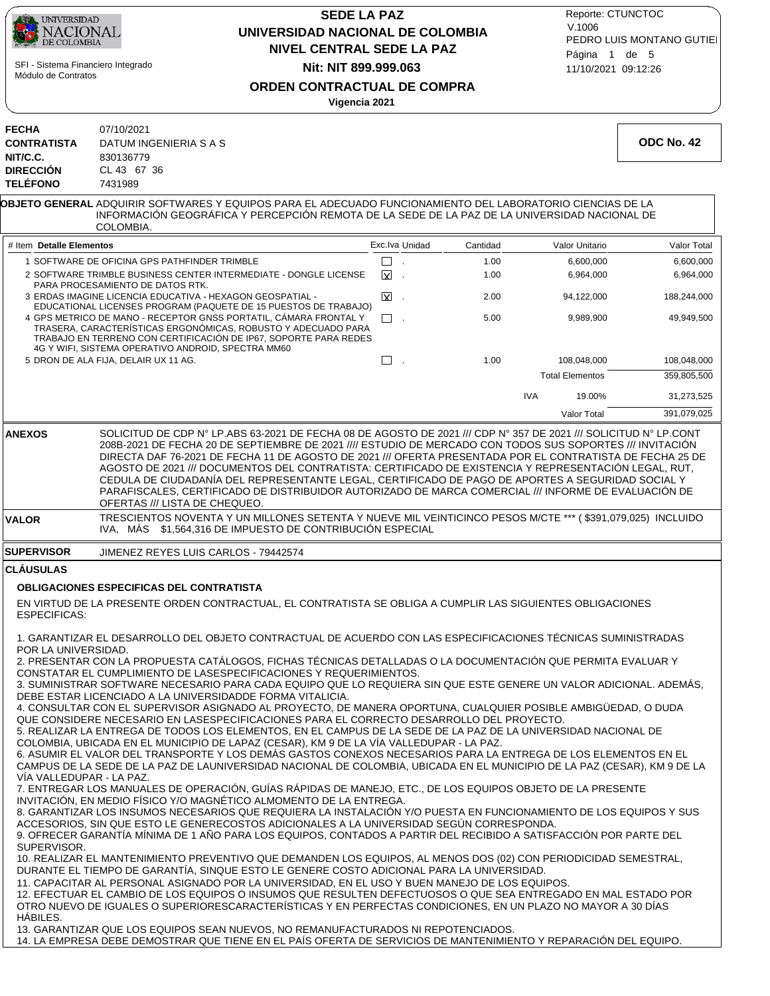

# **NIVEL CENTRAL SEDE LA PAZ SEDE LA PAZ UNIVERSIDAD NACIONAL DE COLOMBIA Nit: NIT 899.999.063**

11/10/2021 09:12:26 PEDRO LUIS MONTANO GUTIEI Reporte: CTUNCTOC V.1006 Página 1 de 5

**ORDEN CONTRACTUAL DE COMPRA**

|                                                                                       | Vigencia 2021                                                                                                                                                                                                                                                                                                                                                                                                                                                                                                                                                                                                                                                                                                                                                                                                                                                                                                                                                                                                                                                                                                                                                                                                                                                                                                                                                                                                                                                                                                                                                                                                                                                                                                                                                                                                                                                                                                                                                                                                |                |          |                        |            |
|---------------------------------------------------------------------------------------|--------------------------------------------------------------------------------------------------------------------------------------------------------------------------------------------------------------------------------------------------------------------------------------------------------------------------------------------------------------------------------------------------------------------------------------------------------------------------------------------------------------------------------------------------------------------------------------------------------------------------------------------------------------------------------------------------------------------------------------------------------------------------------------------------------------------------------------------------------------------------------------------------------------------------------------------------------------------------------------------------------------------------------------------------------------------------------------------------------------------------------------------------------------------------------------------------------------------------------------------------------------------------------------------------------------------------------------------------------------------------------------------------------------------------------------------------------------------------------------------------------------------------------------------------------------------------------------------------------------------------------------------------------------------------------------------------------------------------------------------------------------------------------------------------------------------------------------------------------------------------------------------------------------------------------------------------------------------------------------------------------------|----------------|----------|------------------------|------------|
| <b>FECHA</b><br><b>CONTRATISTA</b><br>NIT/C.C.<br><b>DIRECCIÓN</b><br><b>TELÉFONO</b> | 07/10/2021<br>DATUM INGENIERIA S A S<br>830136779<br>CL 43 67 36<br>7431989                                                                                                                                                                                                                                                                                                                                                                                                                                                                                                                                                                                                                                                                                                                                                                                                                                                                                                                                                                                                                                                                                                                                                                                                                                                                                                                                                                                                                                                                                                                                                                                                                                                                                                                                                                                                                                                                                                                                  |                |          |                        | ODC No. 42 |
|                                                                                       | <b>OBJETO GENERAL</b> ADQUIRIR SOFTWARES Y EQUIPOS PARA EL ADECUADO FUNCIONAMIENTO DEL LABORATORIO CIENCIAS DE LA<br>INFORMACION GEOGRAFICA Y PERCEPCION REMOTA DE LA SEDE DE LA PAZ DE LA UNIVERSIDAD NACIONAL DE<br>COLOMBIA.                                                                                                                                                                                                                                                                                                                                                                                                                                                                                                                                                                                                                                                                                                                                                                                                                                                                                                                                                                                                                                                                                                                                                                                                                                                                                                                                                                                                                                                                                                                                                                                                                                                                                                                                                                              |                |          |                        |            |
| # Item Detalle Elementos                                                              |                                                                                                                                                                                                                                                                                                                                                                                                                                                                                                                                                                                                                                                                                                                                                                                                                                                                                                                                                                                                                                                                                                                                                                                                                                                                                                                                                                                                                                                                                                                                                                                                                                                                                                                                                                                                                                                                                                                                                                                                              | Exc.lva Unidad | Cantidad | Valor Unitario         | Valor Tot  |
|                                                                                       | 1 SOFTWARE DE OFICINA GPS PATHFINDER TRIMBLE                                                                                                                                                                                                                                                                                                                                                                                                                                                                                                                                                                                                                                                                                                                                                                                                                                                                                                                                                                                                                                                                                                                                                                                                                                                                                                                                                                                                                                                                                                                                                                                                                                                                                                                                                                                                                                                                                                                                                                 | $\Box$ .       | 1.00     | 6,600,000              | 6,600,0    |
|                                                                                       | 2 SOFTWARE TRIMBLE BUSINESS CENTER INTERMEDIATE - DONGLE LICENSE                                                                                                                                                                                                                                                                                                                                                                                                                                                                                                                                                                                                                                                                                                                                                                                                                                                                                                                                                                                                                                                                                                                                                                                                                                                                                                                                                                                                                                                                                                                                                                                                                                                                                                                                                                                                                                                                                                                                             | ΙXΙ.<br>$\sim$ | 1.00     | 6,964,000              | 6,964,0    |
|                                                                                       | PARA PROCESAMIENTO DE DATOS RTK.<br>3 ERDAS IMAGINE LICENCIA EDUCATIVA - HEXAGON GEOSPATIAL -                                                                                                                                                                                                                                                                                                                                                                                                                                                                                                                                                                                                                                                                                                                                                                                                                                                                                                                                                                                                                                                                                                                                                                                                                                                                                                                                                                                                                                                                                                                                                                                                                                                                                                                                                                                                                                                                                                                | ⊠              | 2.00     | 94,122,000             | 188,244,00 |
|                                                                                       | EDUCATIONAL LICENSES PROGRAM (PAQUETE DE 15 PUESTOS DE TRABAJO)<br>4 GPS METRICO DE MANO - RECEPTOR GNSS PORTATIL, CÁMARA FRONTAL Y                                                                                                                                                                                                                                                                                                                                                                                                                                                                                                                                                                                                                                                                                                                                                                                                                                                                                                                                                                                                                                                                                                                                                                                                                                                                                                                                                                                                                                                                                                                                                                                                                                                                                                                                                                                                                                                                          | $\Box$ .       | 5.00     | 9,989,900              | 49,949,50  |
|                                                                                       | TRASERA, CARACTERÍSTICAS ERGONÓMICAS, ROBUSTO Y ADECUADO PARA<br>TRABAJO EN TERRENO CON CERTIFICACIÓN DE IP67, SOPORTE PARA REDES<br>4G Y WIFI, SISTEMA OPERATIVO ANDROID, SPECTRA MM60                                                                                                                                                                                                                                                                                                                                                                                                                                                                                                                                                                                                                                                                                                                                                                                                                                                                                                                                                                                                                                                                                                                                                                                                                                                                                                                                                                                                                                                                                                                                                                                                                                                                                                                                                                                                                      |                |          |                        |            |
|                                                                                       | 5 DRON DE ALA FIJA, DELAIR UX 11 AG.                                                                                                                                                                                                                                                                                                                                                                                                                                                                                                                                                                                                                                                                                                                                                                                                                                                                                                                                                                                                                                                                                                                                                                                                                                                                                                                                                                                                                                                                                                                                                                                                                                                                                                                                                                                                                                                                                                                                                                         | $\Box$ .       | 1.00     | 108,048,000            | 108,048,00 |
|                                                                                       |                                                                                                                                                                                                                                                                                                                                                                                                                                                                                                                                                                                                                                                                                                                                                                                                                                                                                                                                                                                                                                                                                                                                                                                                                                                                                                                                                                                                                                                                                                                                                                                                                                                                                                                                                                                                                                                                                                                                                                                                              |                |          | <b>Total Elementos</b> | 359,805,50 |
|                                                                                       |                                                                                                                                                                                                                                                                                                                                                                                                                                                                                                                                                                                                                                                                                                                                                                                                                                                                                                                                                                                                                                                                                                                                                                                                                                                                                                                                                                                                                                                                                                                                                                                                                                                                                                                                                                                                                                                                                                                                                                                                              |                |          | <b>IVA</b><br>19.00%   | 31,273,52  |
|                                                                                       |                                                                                                                                                                                                                                                                                                                                                                                                                                                                                                                                                                                                                                                                                                                                                                                                                                                                                                                                                                                                                                                                                                                                                                                                                                                                                                                                                                                                                                                                                                                                                                                                                                                                                                                                                                                                                                                                                                                                                                                                              |                |          | <b>Valor Total</b>     | 391,079,02 |
|                                                                                       | DIRECTA DAF 76-2021 DE FECHA 11 DE AGOSTO DE 2021 /// OFERTA PRESENTADA POR EL CONTRATISTA DE FECHA 25 DE<br>AGOSTO DE 2021 /// DOCUMENTOS DEL CONTRATISTA: CERTIFICADO DE EXISTENCIA Y REPRESENTACIÓN LEGAL, RUT,<br>CEDULA DE CIUDADANÍA DEL REPRESENTANTE LEGAL, CERTIFICADO DE PAGO DE APORTES A SEGURIDAD SOCIAL Y<br>PARAFISCALES, CERTIFICADO DE DISTRIBUIDOR AUTORIZADO DE MARCA COMERCIAL /// INFORME DE EVALUACIÓN DE<br>OFERTAS /// LISTA DE CHEQUEO.                                                                                                                                                                                                                                                                                                                                                                                                                                                                                                                                                                                                                                                                                                                                                                                                                                                                                                                                                                                                                                                                                                                                                                                                                                                                                                                                                                                                                                                                                                                                             |                |          |                        |            |
| <b>VALOR</b>                                                                          | TRESCIENTOS NOVENTA Y UN MILLONES SETENTA Y NUEVE MIL VEINTICINCO PESOS M/CTE *** (\$391,079,025) INCLUIDO<br>IVA, MÁS \$1,564,316 DE IMPUESTO DE CONTRIBUCIÓN ESPECIAL                                                                                                                                                                                                                                                                                                                                                                                                                                                                                                                                                                                                                                                                                                                                                                                                                                                                                                                                                                                                                                                                                                                                                                                                                                                                                                                                                                                                                                                                                                                                                                                                                                                                                                                                                                                                                                      |                |          |                        |            |
| <b>SUPERVISOR</b>                                                                     | JIMENEZ REYES LUIS CARLOS - 79442574                                                                                                                                                                                                                                                                                                                                                                                                                                                                                                                                                                                                                                                                                                                                                                                                                                                                                                                                                                                                                                                                                                                                                                                                                                                                                                                                                                                                                                                                                                                                                                                                                                                                                                                                                                                                                                                                                                                                                                         |                |          |                        |            |
| <b>CLAUSULAS</b>                                                                      |                                                                                                                                                                                                                                                                                                                                                                                                                                                                                                                                                                                                                                                                                                                                                                                                                                                                                                                                                                                                                                                                                                                                                                                                                                                                                                                                                                                                                                                                                                                                                                                                                                                                                                                                                                                                                                                                                                                                                                                                              |                |          |                        |            |
|                                                                                       | <b>OBLIGACIONES ESPECIFICAS DEL CONTRATISTA</b>                                                                                                                                                                                                                                                                                                                                                                                                                                                                                                                                                                                                                                                                                                                                                                                                                                                                                                                                                                                                                                                                                                                                                                                                                                                                                                                                                                                                                                                                                                                                                                                                                                                                                                                                                                                                                                                                                                                                                              |                |          |                        |            |
| <b>ESPECIFICAS:</b>                                                                   | EN VIRTUD DE LA PRESENTE ORDEN CONTRACTUAL, EL CONTRATISTA SE OBLIGA A CUMPLIR LAS SIGUIENTES OBLIGACIONES                                                                                                                                                                                                                                                                                                                                                                                                                                                                                                                                                                                                                                                                                                                                                                                                                                                                                                                                                                                                                                                                                                                                                                                                                                                                                                                                                                                                                                                                                                                                                                                                                                                                                                                                                                                                                                                                                                   |                |          |                        |            |
| POR LA UNIVERSIDAD.<br>VÍA VALLEDUPAR - LA PAZ.<br>SUPERVISOR.                        | 1. GARANTIZAR EL DESARROLLO DEL OBJETO CONTRACTUAL DE ACUERDO CON LAS ESPECIFICACIONES TÉCNICAS SUMINISTRADAS<br>2. PRESENTAR CON LA PROPUESTA CATÁLOGOS, FICHAS TÉCNICAS DETALLADAS O LA DOCUMENTACIÓN QUE PERMITA EVALUAR Y<br>CONSTATAR EL CUMPLIMIENTO DE LASESPECIFICACIONES Y REQUERIMIENTOS.<br>3. SUMINISTRAR SOFTWARE NECESARIO PARA CADA EQUIPO QUE LO REQUIERA SIN QUE ESTE GENERE UN VALOR ADICIONAL. ADEMÁS.<br>DEBE ESTAR LICENCIADO A LA UNIVERSIDADDE FORMA VITALICIA.<br>4. CONSULTAR CON EL SUPERVISOR ASIGNADO AL PROYECTO, DE MANERA OPORTUNA, CUALQUIER POSIBLE AMBIGÜEDAD, O DUDA<br>QUE CONSIDERE NECESARIO EN LASESPECIFICACIONES PARA EL CORRECTO DESARROLLO DEL PROYECTO.<br>5. REALIZAR LA ENTREGA DE TODOS LOS ELEMENTOS, EN EL CAMPUS DE LA SEDE DE LA PAZ DE LA UNIVERSIDAD NACIONAL DE<br>COLOMBIA, UBICADA EN EL MUNICIPIO DE LAPAZ (CESAR), KM 9 DE LA VÍA VALLEDUPAR - LA PAZ.<br>6. ASUMIR EL VALOR DEL TRANSPORTE Y LOS DEMÁS GASTOS CONEXOS NECESARIOS PARA LA ENTREGA DE LOS ELEMENTOS EN EL<br>CAMPUS DE LA SEDE DE LA PAZ DE LAUNIVERSIDAD NACIONAL DE COLOMBIA, UBICADA EN EL MUNICIPIO DE LA PAZ (CESAR), KM 9 DE LA<br>7. ENTREGAR LOS MANUALES DE OPERACIÓN, GUÍAS RÁPIDAS DE MANEJO, ETC., DE LOS EQUIPOS OBJETO DE LA PRESENTE<br>INVITACIÓN, EN MEDIO FÍSICO Y/O MAGNÉTICO ALMOMENTO DE LA ENTREGA.<br>8. GARANTIZAR LOS INSUMOS NECESARIOS QUE REQUIERA LA INSTALACIÓN Y/O PUESTA EN FUNCIONAMIENTO DE LOS EQUIPOS Y SUS<br>ACCESORIOS, SIN QUE ESTO LE GENERECOSTOS ADICIONALES A LA UNIVERSIDAD SEGÚN CORRESPONDA.<br>9. OFRECER GARANTÍA MÍNIMA DE 1 AÑO PARA LOS EQUIPOS, CONTADOS A PARTIR DEL RECIBIDO A SATISFACCIÓN POR PARTE DEL<br>10. REALIZAR EL MANTENIMIENTO PREVENTIVO QUE DEMANDEN LOS EQUIPOS, AL MENOS DOS (02) CON PERIODICIDAD SEMESTRAL,<br>DURANTE EL TIEMPO DE GARANTÍA, SINQUE ESTO LE GENERE COSTO ADICIONAL PARA LA UNIVERSIDAD.<br>11. CAPACITAR AL PERSONAL ASIGNADO POR LA UNIVERSIDAD, EN EL USO Y BUEN MANEJO DE LOS EQUIPOS. |                |          |                        |            |
| HABILES.                                                                              | 12. EFECTUAR EL CAMBIO DE LOS EQUIPOS O INSUMOS QUE RESULTEN DEFECTUOSOS O QUE SEA ENTREGADO EN MAL ESTADO POR<br>OTRO NUEVO DE IGUALES O SUPERIORESCARACTERÍSTICAS Y EN PERFECTAS CONDICIONES, EN UN PLAZO NO MAYOR A 30 DÍAS<br>13. GARANTIZAR QUE LOS EQUIPOS SEAN NUEVOS, NO REMANUFACTURADOS NI REPOTENCIADOS.<br>14. LA EMPRESA DEBE DEMOSTRAR QUE TIENE EN EL PAÍS OFERTA DE SERVICIOS DE MANTENIMIENTO Y REPARACIÓN DEL EQUIPO.                                                                                                                                                                                                                                                                                                                                                                                                                                                                                                                                                                                                                                                                                                                                                                                                                                                                                                                                                                                                                                                                                                                                                                                                                                                                                                                                                                                                                                                                                                                                                                      |                |          |                        |            |

359,805,500

31,273,525  $391,079,025$ 

108,048,000

 6,600,000 6,964,000 188,244,000 49,949,500

Valor Total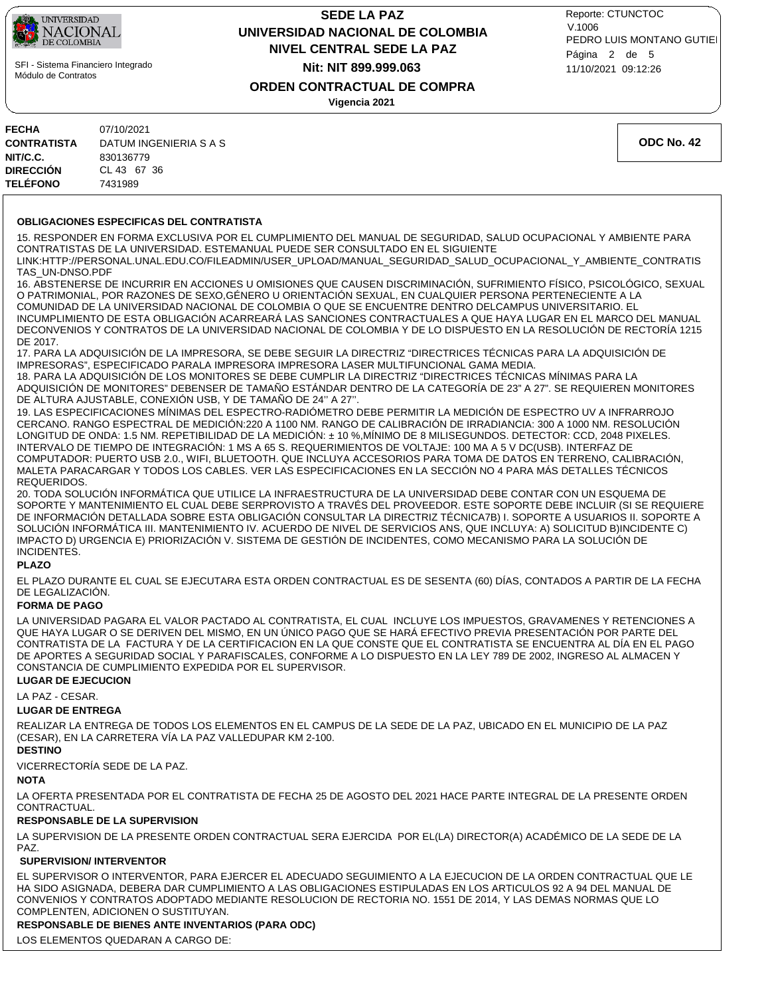

# **NIVEL CENTRAL SEDE LA PAZ SEDE LA PAZ UNIVERSIDAD NACIONAL DE COLOMBIA Nit: NIT 899.999.063**

11/10/2021 09:12:26 PEDRO LUIS MONTANO GUTIEI Reporte: CTUNCTOC V.1006 Página 2 de 5

**ORDEN CONTRACTUAL DE COMPRA**

**Vigencia 2021**

| FECHA              | 07/10/2021             |
|--------------------|------------------------|
| <b>CONTRATISTA</b> | DATUM INGENIERIA S A S |
| NIT/C.C.           | 830136779              |
| DIRECCIÓN          | CL 43 67 36            |
| <b>TELÉFONO</b>    | 7431989                |

**ODC No. 42**

#### **OBLIGACIONES ESPECIFICAS DEL CONTRATISTA**

15. RESPONDER EN FORMA EXCLUSIVA POR EL CUMPLIMIENTO DEL MANUAL DE SEGURIDAD, SALUD OCUPACIONAL Y AMBIENTE PARA CONTRATISTAS DE LA UNIVERSIDAD. ESTEMANUAL PUEDE SER CONSULTADO EN EL SIGUIENTE

LINK:HTTP://PERSONAL.UNAL.EDU.CO/FILEADMIN/USER\_UPLOAD/MANUAL\_SEGURIDAD\_SALUD\_OCUPACIONAL\_Y\_AMBIENTE\_CONTRATIS TAS\_UN-DNSO.PDF

16. ABSTENERSE DE INCURRIR EN ACCIONES U OMISIONES QUE CAUSEN DISCRIMINACIÓN, SUFRIMIENTO FÍSICO, PSICOLÓGICO, SEXUAL O PATRIMONIAL, POR RAZONES DE SEXO,GÉNERO U ORIENTACIÓN SEXUAL, EN CUALQUIER PERSONA PERTENECIENTE A LA COMUNIDAD DE LA UNIVERSIDAD NACIONAL DE COLOMBIA O QUE SE ENCUENTRE DENTRO DELCAMPUS UNIVERSITARIO. EL INCUMPLIMIENTO DE ESTA OBLIGACIÓN ACARREARÁ LAS SANCIONES CONTRACTUALES A QUE HAYA LUGAR EN EL MARCO DEL MANUAL DECONVENIOS Y CONTRATOS DE LA UNIVERSIDAD NACIONAL DE COLOMBIA Y DE LO DISPUESTO EN LA RESOLUCIÓN DE RECTORÍA 1215 DE 2017.

17. PARA LA ADQUISICIÓN DE LA IMPRESORA, SE DEBE SEGUIR LA DIRECTRIZ "DIRECTRICES TÉCNICAS PARA LA ADQUISICIÓN DE IMPRESORAS", ESPECIFICADO PARALA IMPRESORA IMPRESORA LASER MULTIFUNCIONAL GAMA MEDIA.

18. PARA LA ADQUISICIÓN DE LOS MONITORES SE DEBE CUMPLIR LA DIRECTRIZ "DIRECTRICES TÉCNICAS MÍNIMAS PARA LA ADQUISICIÓN DE MONITORES" DEBENSER DE TAMAÑO ESTÁNDAR DENTRO DE LA CATEGORÍA DE 23" A 27". SE REQUIEREN MONITORES DE ALTURA AJUSTABLE, CONEXIÓN USB, Y DE TAMAÑO DE 24'' A 27''.

19. LAS ESPECIFICACIONES MÍNIMAS DEL ESPECTRO-RADIÓMETRO DEBE PERMITIR LA MEDICIÓN DE ESPECTRO UV A INFRARROJO CERCANO. RANGO ESPECTRAL DE MEDICIÓN:220 A 1100 NM. RANGO DE CALIBRACIÓN DE IRRADIANCIA: 300 A 1000 NM. RESOLUCIÓN LONGITUD DE ONDA: 1.5 NM. REPETIBILIDAD DE LA MEDICIÓN: ± 10 %,MÍNIMO DE 8 MILISEGUNDOS. DETECTOR: CCD, 2048 PIXELES. INTERVALO DE TIEMPO DE INTEGRACIÓN: 1 MS A 65 S. REQUERIMIENTOS DE VOLTAJE: 100 MA A 5 V DC(USB). INTERFAZ DE COMPUTADOR: PUERTO USB 2.0., WIFI, BLUETOOTH. QUE INCLUYA ACCESORIOS PARA TOMA DE DATOS EN TERRENO, CALIBRACIÓN, MALETA PARACARGAR Y TODOS LOS CABLES. VER LAS ESPECIFICACIONES EN LA SECCIÓN NO 4 PARA MÁS DETALLES TÉCNICOS REQUERIDOS.

20. TODA SOLUCIÓN INFORMÁTICA QUE UTILICE LA INFRAESTRUCTURA DE LA UNIVERSIDAD DEBE CONTAR CON UN ESQUEMA DE SOPORTE Y MANTENIMIENTO EL CUAL DEBE SERPROVISTO A TRAVÉS DEL PROVEEDOR. ESTE SOPORTE DEBE INCLUIR (SI SE REQUIERE DE INFORMACIÓN DETALLADA SOBRE ESTA OBLIGACIÓN CONSULTAR LA DIRECTRIZ TÉCNICA7B) I. SOPORTE A USUARIOS II. SOPORTE A SOLUCIÓN INFORMÁTICA III. MANTENIMIENTO IV. ACUERDO DE NIVEL DE SERVICIOS ANS, QUE INCLUYA: A) SOLICITUD B)INCIDENTE C) IMPACTO D) URGENCIA E) PRIORIZACIÓN V. SISTEMA DE GESTIÓN DE INCIDENTES, COMO MECANISMO PARA LA SOLUCIÓN DE INCIDENTES.

#### **PLAZO**

EL PLAZO DURANTE EL CUAL SE EJECUTARA ESTA ORDEN CONTRACTUAL ES DE SESENTA (60) DÍAS, CONTADOS A PARTIR DE LA FECHA DE LEGALIZACIÓN.

#### **FORMA DE PAGO**

LA UNIVERSIDAD PAGARA EL VALOR PACTADO AL CONTRATISTA, EL CUAL INCLUYE LOS IMPUESTOS, GRAVAMENES Y RETENCIONES A QUE HAYA LUGAR O SE DERIVEN DEL MISMO, EN UN ÚNICO PAGO QUE SE HARÁ EFECTIVO PREVIA PRESENTACIÓN POR PARTE DEL CONTRATISTA DE LA FACTURA Y DE LA CERTIFICACION EN LA QUE CONSTE QUE EL CONTRATISTA SE ENCUENTRA AL DÍA EN EL PAGO DE APORTES A SEGURIDAD SOCIAL Y PARAFISCALES, CONFORME A LO DISPUESTO EN LA LEY 789 DE 2002, INGRESO AL ALMACEN Y CONSTANCIA DE CUMPLIMIENTO EXPEDIDA POR EL SUPERVISOR.

#### **LUGAR DE EJECUCION**

LA PAZ - CESAR.

#### **LUGAR DE ENTREGA**

REALIZAR LA ENTREGA DE TODOS LOS ELEMENTOS EN EL CAMPUS DE LA SEDE DE LA PAZ, UBICADO EN EL MUNICIPIO DE LA PAZ (CESAR), EN LA CARRETERA VÍA LA PAZ VALLEDUPAR KM 2-100.

# **DESTINO**

VICERRECTORÍA SEDE DE LA PAZ.

#### **NOTA**

LA OFERTA PRESENTADA POR EL CONTRATISTA DE FECHA 25 DE AGOSTO DEL 2021 HACE PARTE INTEGRAL DE LA PRESENTE ORDEN CONTRACTUAL.

#### **RESPONSABLE DE LA SUPERVISION**

LA SUPERVISION DE LA PRESENTE ORDEN CONTRACTUAL SERA EJERCIDA POR EL(LA) DIRECTOR(A) ACADÉMICO DE LA SEDE DE LA PAZ.

#### **SUPERVISION/ INTERVENTOR**

EL SUPERVISOR O INTERVENTOR, PARA EJERCER EL ADECUADO SEGUIMIENTO A LA EJECUCION DE LA ORDEN CONTRACTUAL QUE LE HA SIDO ASIGNADA, DEBERA DAR CUMPLIMIENTO A LAS OBLIGACIONES ESTIPULADAS EN LOS ARTICULOS 92 A 94 DEL MANUAL DE CONVENIOS Y CONTRATOS ADOPTADO MEDIANTE RESOLUCION DE RECTORIA NO. 1551 DE 2014, Y LAS DEMAS NORMAS QUE LO COMPLENTEN, ADICIONEN O SUSTITUYAN.

### **RESPONSABLE DE BIENES ANTE INVENTARIOS (PARA ODC)**

LOS ELEMENTOS QUEDARAN A CARGO DE: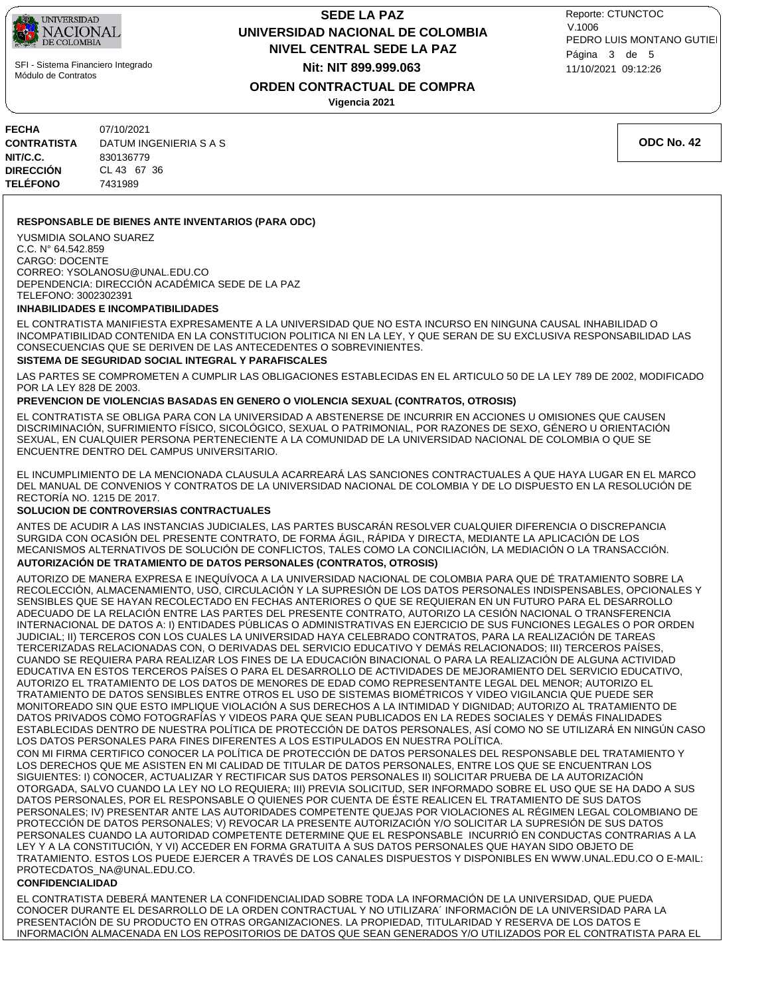

## **NIVEL CENTRAL SEDE LA PAZ SEDE LA PAZ UNIVERSIDAD NACIONAL DE COLOMBIA Nit: NIT 899.999.063**

11/10/2021 09:12:26 PEDRO LUIS MONTANO GUTIEI Reporte: CTUNCTOC V.1006 Página 3 de 5

### **ORDEN CONTRACTUAL DE COMPRA**

**Vigencia 2021**

| FECHA              | 07/10/2021             |
|--------------------|------------------------|
| <b>CONTRATISTA</b> | DATUM INGENIERIA S A S |
| NIT/C.C.           | 830136779              |
| DIRECCIÓN          | CL 43 67 36            |
| <b>TELÉFONO</b>    | 7431989                |

**ODC No. 42**

#### **RESPONSABLE DE BIENES ANTE INVENTARIOS (PARA ODC)**

YUSMIDIA SOLANO SUAREZ C.C. N° 64.542.859 CARGO: DOCENTE CORREO: YSOLANOSU@UNAL.EDU.CO DEPENDENCIA: DIRECCIÓN ACADÉMICA SEDE DE LA PAZ TELEFONO: 3002302391

#### **INHABILIDADES E INCOMPATIBILIDADES**

EL CONTRATISTA MANIFIESTA EXPRESAMENTE A LA UNIVERSIDAD QUE NO ESTA INCURSO EN NINGUNA CAUSAL INHABILIDAD O INCOMPATIBILIDAD CONTENIDA EN LA CONSTITUCION POLITICA NI EN LA LEY, Y QUE SERAN DE SU EXCLUSIVA RESPONSABILIDAD LAS CONSECUENCIAS QUE SE DERIVEN DE LAS ANTECEDENTES O SOBREVINIENTES.

#### **SISTEMA DE SEGURIDAD SOCIAL INTEGRAL Y PARAFISCALES**

LAS PARTES SE COMPROMETEN A CUMPLIR LAS OBLIGACIONES ESTABLECIDAS EN EL ARTICULO 50 DE LA LEY 789 DE 2002, MODIFICADO POR LA LEY 828 DE 2003.

#### **PREVENCION DE VIOLENCIAS BASADAS EN GENERO O VIOLENCIA SEXUAL (CONTRATOS, OTROSIS)**

EL CONTRATISTA SE OBLIGA PARA CON LA UNIVERSIDAD A ABSTENERSE DE INCURRIR EN ACCIONES U OMISIONES QUE CAUSEN DISCRIMINACIÓN, SUFRIMIENTO FÍSICO, SICOLÓGICO, SEXUAL O PATRIMONIAL, POR RAZONES DE SEXO, GÉNERO U ORIENTACIÓN SEXUAL, EN CUALQUIER PERSONA PERTENECIENTE A LA COMUNIDAD DE LA UNIVERSIDAD NACIONAL DE COLOMBIA O QUE SE ENCUENTRE DENTRO DEL CAMPUS UNIVERSITARIO.

EL INCUMPLIMIENTO DE LA MENCIONADA CLAUSULA ACARREARÁ LAS SANCIONES CONTRACTUALES A QUE HAYA LUGAR EN EL MARCO DEL MANUAL DE CONVENIOS Y CONTRATOS DE LA UNIVERSIDAD NACIONAL DE COLOMBIA Y DE LO DISPUESTO EN LA RESOLUCIÓN DE RECTORÍA NO. 1215 DE 2017.

#### **SOLUCION DE CONTROVERSIAS CONTRACTUALES**

**AUTORIZACIÓN DE TRATAMIENTO DE DATOS PERSONALES (CONTRATOS, OTROSIS)** ANTES DE ACUDIR A LAS INSTANCIAS JUDICIALES, LAS PARTES BUSCARÁN RESOLVER CUALQUIER DIFERENCIA O DISCREPANCIA SURGIDA CON OCASIÓN DEL PRESENTE CONTRATO, DE FORMA ÁGIL, RÁPIDA Y DIRECTA, MEDIANTE LA APLICACIÓN DE LOS MECANISMOS ALTERNATIVOS DE SOLUCIÓN DE CONFLICTOS, TALES COMO LA CONCILIACIÓN, LA MEDIACIÓN O LA TRANSACCIÓN.

AUTORIZO DE MANERA EXPRESA E INEQUÍVOCA A LA UNIVERSIDAD NACIONAL DE COLOMBIA PARA QUE DÉ TRATAMIENTO SOBRE LA RECOLECCIÓN, ALMACENAMIENTO, USO, CIRCULACIÓN Y LA SUPRESIÓN DE LOS DATOS PERSONALES INDISPENSABLES, OPCIONALES Y SENSIBLES QUE SE HAYAN RECOLECTADO EN FECHAS ANTERIORES O QUE SE REQUIERAN EN UN FUTURO PARA EL DESARROLLO ADECUADO DE LA RELACIÓN ENTRE LAS PARTES DEL PRESENTE CONTRATO, AUTORIZO LA CESIÓN NACIONAL O TRANSFERENCIA INTERNACIONAL DE DATOS A: I) ENTIDADES PÚBLICAS O ADMINISTRATIVAS EN EJERCICIO DE SUS FUNCIONES LEGALES O POR ORDEN JUDICIAL; II) TERCEROS CON LOS CUALES LA UNIVERSIDAD HAYA CELEBRADO CONTRATOS, PARA LA REALIZACIÓN DE TAREAS TERCERIZADAS RELACIONADAS CON, O DERIVADAS DEL SERVICIO EDUCATIVO Y DEMÁS RELACIONADOS; III) TERCEROS PAÍSES, CUANDO SE REQUIERA PARA REALIZAR LOS FINES DE LA EDUCACIÓN BINACIONAL O PARA LA REALIZACIÓN DE ALGUNA ACTIVIDAD EDUCATIVA EN ESTOS TERCEROS PAÍSES O PARA EL DESARROLLO DE ACTIVIDADES DE MEJORAMIENTO DEL SERVICIO EDUCATIVO, AUTORIZO EL TRATAMIENTO DE LOS DATOS DE MENORES DE EDAD COMO REPRESENTANTE LEGAL DEL MENOR; AUTORIZO EL TRATAMIENTO DE DATOS SENSIBLES ENTRE OTROS EL USO DE SISTEMAS BIOMÉTRICOS Y VIDEO VIGILANCIA QUE PUEDE SER MONITOREADO SIN QUE ESTO IMPLIQUE VIOLACIÓN A SUS DERECHOS A LA INTIMIDAD Y DIGNIDAD; AUTORIZO AL TRATAMIENTO DE DATOS PRIVADOS COMO FOTOGRAFÍAS Y VIDEOS PARA QUE SEAN PUBLICADOS EN LA REDES SOCIALES Y DEMÁS FINALIDADES ESTABLECIDAS DENTRO DE NUESTRA POLÍTICA DE PROTECCIÓN DE DATOS PERSONALES, ASÍ COMO NO SE UTILIZARÁ EN NINGÚN CASO LOS DATOS PERSONALES PARA FINES DIFERENTES A LOS ESTIPULADOS EN NUESTRA POLÍTICA.

CON MI FIRMA CERTIFICO CONOCER LA POLÍTICA DE PROTECCIÓN DE DATOS PERSONALES DEL RESPONSABLE DEL TRATAMIENTO Y LOS DERECHOS QUE ME ASISTEN EN MI CALIDAD DE TITULAR DE DATOS PERSONALES, ENTRE LOS QUE SE ENCUENTRAN LOS SIGUIENTES: I) CONOCER, ACTUALIZAR Y RECTIFICAR SUS DATOS PERSONALES II) SOLICITAR PRUEBA DE LA AUTORIZACIÓN OTORGADA, SALVO CUANDO LA LEY NO LO REQUIERA; III) PREVIA SOLICITUD, SER INFORMADO SOBRE EL USO QUE SE HA DADO A SUS DATOS PERSONALES, POR EL RESPONSABLE O QUIENES POR CUENTA DE ÉSTE REALICEN EL TRATAMIENTO DE SUS DATOS PERSONALES; IV) PRESENTAR ANTE LAS AUTORIDADES COMPETENTE QUEJAS POR VIOLACIONES AL RÉGIMEN LEGAL COLOMBIANO DE PROTECCIÓN DE DATOS PERSONALES; V) REVOCAR LA PRESENTE AUTORIZACIÓN Y/O SOLICITAR LA SUPRESIÓN DE SUS DATOS PERSONALES CUANDO LA AUTORIDAD COMPETENTE DETERMINE QUE EL RESPONSABLE INCURRIÓ EN CONDUCTAS CONTRARIAS A LA LEY Y A LA CONSTITUCIÓN, Y VI) ACCEDER EN FORMA GRATUITA A SUS DATOS PERSONALES QUE HAYAN SIDO OBJETO DE TRATAMIENTO. ESTOS LOS PUEDE EJERCER A TRAVÉS DE LOS CANALES DISPUESTOS Y DISPONIBLES EN WWW.UNAL.EDU.CO O E-MAIL: PROTECDATOS\_NA@UNAL.EDU.CO.

#### **CONFIDENCIALIDAD**

EL CONTRATISTA DEBERÁ MANTENER LA CONFIDENCIALIDAD SOBRE TODA LA INFORMACIÓN DE LA UNIVERSIDAD, QUE PUEDA CONOCER DURANTE EL DESARROLLO DE LA ORDEN CONTRACTUAL Y NO UTILIZARA´ INFORMACIÓN DE LA UNIVERSIDAD PARA LA PRESENTACIÓN DE SU PRODUCTO EN OTRAS ORGANIZACIONES. LA PROPIEDAD, TITULARIDAD Y RESERVA DE LOS DATOS E INFORMACIÓN ALMACENADA EN LOS REPOSITORIOS DE DATOS QUE SEAN GENERADOS Y/O UTILIZADOS POR EL CONTRATISTA PARA EL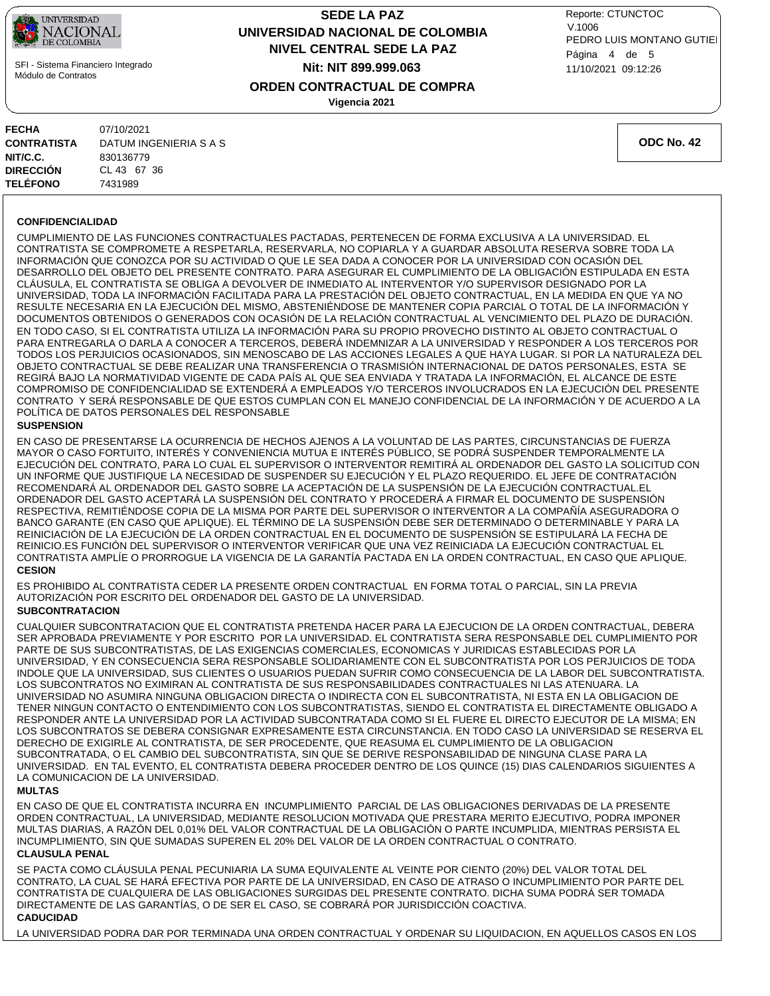

# **NIVEL CENTRAL SEDE LA PAZ SEDE LA PAZ UNIVERSIDAD NACIONAL DE COLOMBIA Nit: NIT 899.999.063**

11/10/2021 09:12:26 PEDRO LUIS MONTANO GUTIEI Reporte: CTUNCTOC V.1006 Página 4 de 5

**ORDEN CONTRACTUAL DE COMPRA**

**Vigencia 2021**

| 07/10/2021             |
|------------------------|
| DATUM INGENIERIA S A S |
| 830136779              |
| CL 43 67 36            |
| 7431989                |
|                        |

**ODC No. 42**

#### **CONFIDENCIALIDAD**

CUMPLIMIENTO DE LAS FUNCIONES CONTRACTUALES PACTADAS, PERTENECEN DE FORMA EXCLUSIVA A LA UNIVERSIDAD. EL CONTRATISTA SE COMPROMETE A RESPETARLA, RESERVARLA, NO COPIARLA Y A GUARDAR ABSOLUTA RESERVA SOBRE TODA LA INFORMACIÓN QUE CONOZCA POR SU ACTIVIDAD O QUE LE SEA DADA A CONOCER POR LA UNIVERSIDAD CON OCASIÓN DEL DESARROLLO DEL OBJETO DEL PRESENTE CONTRATO. PARA ASEGURAR EL CUMPLIMIENTO DE LA OBLIGACIÓN ESTIPULADA EN ESTA CLÁUSULA, EL CONTRATISTA SE OBLIGA A DEVOLVER DE INMEDIATO AL INTERVENTOR Y/O SUPERVISOR DESIGNADO POR LA UNIVERSIDAD, TODA LA INFORMACIÓN FACILITADA PARA LA PRESTACIÓN DEL OBJETO CONTRACTUAL, EN LA MEDIDA EN QUE YA NO RESULTE NECESARIA EN LA EJECUCIÓN DEL MISMO, ABSTENIÉNDOSE DE MANTENER COPIA PARCIAL O TOTAL DE LA INFORMACIÓN Y DOCUMENTOS OBTENIDOS O GENERADOS CON OCASIÓN DE LA RELACIÓN CONTRACTUAL AL VENCIMIENTO DEL PLAZO DE DURACIÓN. EN TODO CASO, SI EL CONTRATISTA UTILIZA LA INFORMACIÓN PARA SU PROPIO PROVECHO DISTINTO AL OBJETO CONTRACTUAL O PARA ENTREGARLA O DARLA A CONOCER A TERCEROS, DEBERÁ INDEMNIZAR A LA UNIVERSIDAD Y RESPONDER A LOS TERCEROS POR TODOS LOS PERJUICIOS OCASIONADOS, SIN MENOSCABO DE LAS ACCIONES LEGALES A QUE HAYA LUGAR. SI POR LA NATURALEZA DEL OBJETO CONTRACTUAL SE DEBE REALIZAR UNA TRANSFERENCIA O TRASMISIÓN INTERNACIONAL DE DATOS PERSONALES, ESTA SE REGIRÁ BAJO LA NORMATIVIDAD VIGENTE DE CADA PAÍS AL QUE SEA ENVIADA Y TRATADA LA INFORMACIÓN, EL ALCANCE DE ESTE COMPROMISO DE CONFIDENCIALIDAD SE EXTENDERÁ A EMPLEADOS Y/O TERCEROS INVOLUCRADOS EN LA EJECUCIÓN DEL PRESENTE CONTRATO Y SERÁ RESPONSABLE DE QUE ESTOS CUMPLAN CON EL MANEJO CONFIDENCIAL DE LA INFORMACIÓN Y DE ACUERDO A LA POLÍTICA DE DATOS PERSONALES DEL RESPONSABLE

#### **SUSPENSION**

EN CASO DE PRESENTARSE LA OCURRENCIA DE HECHOS AJENOS A LA VOLUNTAD DE LAS PARTES, CIRCUNSTANCIAS DE FUERZA MAYOR O CASO FORTUITO, INTERÉS Y CONVENIENCIA MUTUA E INTERÉS PÚBLICO, SE PODRÁ SUSPENDER TEMPORALMENTE LA EJECUCIÓN DEL CONTRATO, PARA LO CUAL EL SUPERVISOR O INTERVENTOR REMITIRÁ AL ORDENADOR DEL GASTO LA SOLICITUD CON UN INFORME QUE JUSTIFIQUE LA NECESIDAD DE SUSPENDER SU EJECUCIÓN Y EL PLAZO REQUERIDO. EL JEFE DE CONTRATACIÓN RECOMENDARÁ AL ORDENADOR DEL GASTO SOBRE LA ACEPTACIÓN DE LA SUSPENSIÓN DE LA EJECUCIÓN CONTRACTUAL.EL ORDENADOR DEL GASTO ACEPTARÁ LA SUSPENSIÓN DEL CONTRATO Y PROCEDERÁ A FIRMAR EL DOCUMENTO DE SUSPENSIÓN RESPECTIVA, REMITIÉNDOSE COPIA DE LA MISMA POR PARTE DEL SUPERVISOR O INTERVENTOR A LA COMPAÑÍA ASEGURADORA O BANCO GARANTE (EN CASO QUE APLIQUE). EL TÉRMINO DE LA SUSPENSIÓN DEBE SER DETERMINADO O DETERMINABLE Y PARA LA REINICIACIÓN DE LA EJECUCIÓN DE LA ORDEN CONTRACTUAL EN EL DOCUMENTO DE SUSPENSIÓN SE ESTIPULARÁ LA FECHA DE REINICIO.ES FUNCIÓN DEL SUPERVISOR O INTERVENTOR VERIFICAR QUE UNA VEZ REINICIADA LA EJECUCIÓN CONTRACTUAL EL CONTRATISTA AMPLÍE O PRORROGUE LA VIGENCIA DE LA GARANTÍA PACTADA EN LA ORDEN CONTRACTUAL, EN CASO QUE APLIQUE.

#### **CESION**

ES PROHIBIDO AL CONTRATISTA CEDER LA PRESENTE ORDEN CONTRACTUAL EN FORMA TOTAL O PARCIAL, SIN LA PREVIA AUTORIZACIÓN POR ESCRITO DEL ORDENADOR DEL GASTO DE LA UNIVERSIDAD.

#### **SUBCONTRATACION**

CUALQUIER SUBCONTRATACION QUE EL CONTRATISTA PRETENDA HACER PARA LA EJECUCION DE LA ORDEN CONTRACTUAL, DEBERA SER APROBADA PREVIAMENTE Y POR ESCRITO POR LA UNIVERSIDAD. EL CONTRATISTA SERA RESPONSABLE DEL CUMPLIMIENTO POR PARTE DE SUS SUBCONTRATISTAS, DE LAS EXIGENCIAS COMERCIALES, ECONOMICAS Y JURIDICAS ESTABLECIDAS POR LA UNIVERSIDAD, Y EN CONSECUENCIA SERA RESPONSABLE SOLIDARIAMENTE CON EL SUBCONTRATISTA POR LOS PERJUICIOS DE TODA INDOLE QUE LA UNIVERSIDAD, SUS CLIENTES O USUARIOS PUEDAN SUFRIR COMO CONSECUENCIA DE LA LABOR DEL SUBCONTRATISTA. LOS SUBCONTRATOS NO EXIMIRAN AL CONTRATISTA DE SUS RESPONSABILIDADES CONTRACTUALES NI LAS ATENUARA. LA UNIVERSIDAD NO ASUMIRA NINGUNA OBLIGACION DIRECTA O INDIRECTA CON EL SUBCONTRATISTA, NI ESTA EN LA OBLIGACION DE TENER NINGUN CONTACTO O ENTENDIMIENTO CON LOS SUBCONTRATISTAS, SIENDO EL CONTRATISTA EL DIRECTAMENTE OBLIGADO A RESPONDER ANTE LA UNIVERSIDAD POR LA ACTIVIDAD SUBCONTRATADA COMO SI EL FUERE EL DIRECTO EJECUTOR DE LA MISMA; EN LOS SUBCONTRATOS SE DEBERA CONSIGNAR EXPRESAMENTE ESTA CIRCUNSTANCIA. EN TODO CASO LA UNIVERSIDAD SE RESERVA EL DERECHO DE EXIGIRLE AL CONTRATISTA, DE SER PROCEDENTE, QUE REASUMA EL CUMPLIMIENTO DE LA OBLIGACION SUBCONTRATADA, O EL CAMBIO DEL SUBCONTRATISTA, SIN QUE SE DERIVE RESPONSABILIDAD DE NINGUNA CLASE PARA LA UNIVERSIDAD. EN TAL EVENTO, EL CONTRATISTA DEBERA PROCEDER DENTRO DE LOS QUINCE (15) DIAS CALENDARIOS SIGUIENTES A LA COMUNICACION DE LA UNIVERSIDAD.

#### **MULTAS**

EN CASO DE QUE EL CONTRATISTA INCURRA EN INCUMPLIMIENTO PARCIAL DE LAS OBLIGACIONES DERIVADAS DE LA PRESENTE ORDEN CONTRACTUAL, LA UNIVERSIDAD, MEDIANTE RESOLUCION MOTIVADA QUE PRESTARA MERITO EJECUTIVO, PODRA IMPONER MULTAS DIARIAS, A RAZÓN DEL 0,01% DEL VALOR CONTRACTUAL DE LA OBLIGACIÓN O PARTE INCUMPLIDA, MIENTRAS PERSISTA EL INCUMPLIMIENTO, SIN QUE SUMADAS SUPEREN EL 20% DEL VALOR DE LA ORDEN CONTRACTUAL O CONTRATO.

### **CLAUSULA PENAL**

SE PACTA COMO CLÁUSULA PENAL PECUNIARIA LA SUMA EQUIVALENTE AL VEINTE POR CIENTO (20%) DEL VALOR TOTAL DEL CONTRATO, LA CUAL SE HARÁ EFECTIVA POR PARTE DE LA UNIVERSIDAD, EN CASO DE ATRASO O INCUMPLIMIENTO POR PARTE DEL CONTRATISTA DE CUALQUIERA DE LAS OBLIGACIONES SURGIDAS DEL PRESENTE CONTRATO. DICHA SUMA PODRÁ SER TOMADA DIRECTAMENTE DE LAS GARANTÍAS, O DE SER EL CASO, SE COBRARÁ POR JURISDICCIÓN COACTIVA.

### **CADUCIDAD**

LA UNIVERSIDAD PODRA DAR POR TERMINADA UNA ORDEN CONTRACTUAL Y ORDENAR SU LIQUIDACION, EN AQUELLOS CASOS EN LOS